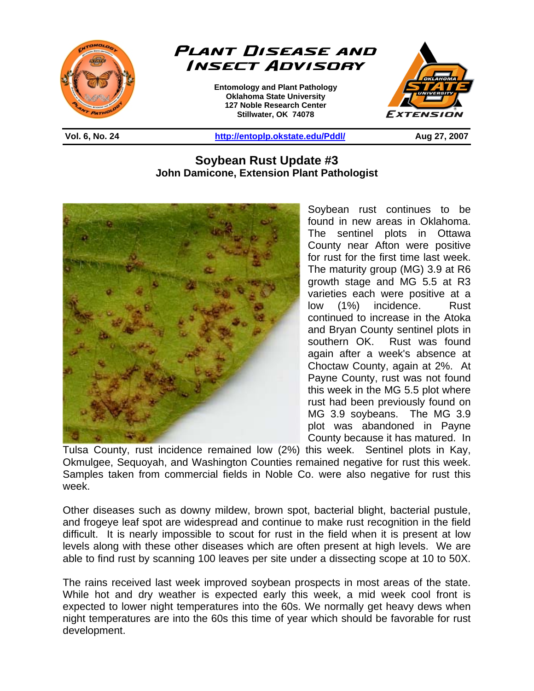



**Entomology and Plant Pathology Oklahoma State University 127 Noble Research Center Stillwater, OK 74078** 



**Vol. 6, No. 24 http://entoplp.okstate.edu/Pddl/ Aug 27, 2007** 

## **Soybean Rust Update #3 John Damicone, Extension Plant Pathologist**

֦



Soybean rust continues to be found in new areas in Oklahoma. The sentinel plots in Ottawa County near Afton were positive for rust for the first time last week. The maturity group (MG) 3.9 at R6 growth stage and MG 5.5 at R3 varieties each were positive at a low (1%) incidence. Rust continued to increase in the Atoka and Bryan County sentinel plots in southern OK. Rust was found again after a week's absence at Choctaw County, again at 2%. At Payne County, rust was not found this week in the MG 5.5 plot where rust had been previously found on MG 3.9 soybeans. The MG 3.9 plot was abandoned in Payne County because it has matured. In

Tulsa County, rust incidence remained low (2%) this week. Sentinel plots in Kay, Okmulgee, Sequoyah, and Washington Counties remained negative for rust this week. Samples taken from commercial fields in Noble Co. were also negative for rust this week.

Other diseases such as downy mildew, brown spot, bacterial blight, bacterial pustule, and frogeye leaf spot are widespread and continue to make rust recognition in the field difficult. It is nearly impossible to scout for rust in the field when it is present at low levels along with these other diseases which are often present at high levels. We are able to find rust by scanning 100 leaves per site under a dissecting scope at 10 to 50X.

The rains received last week improved soybean prospects in most areas of the state. While hot and dry weather is expected early this week, a mid week cool front is expected to lower night temperatures into the 60s. We normally get heavy dews when night temperatures are into the 60s this time of year which should be favorable for rust development.